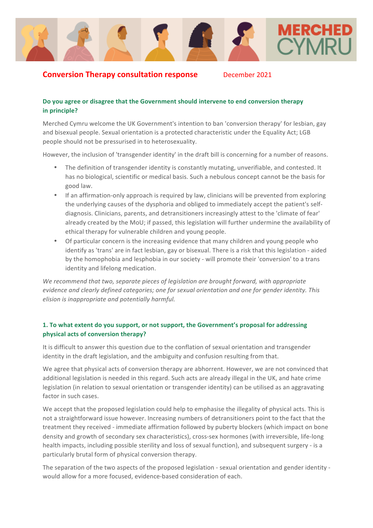

# **Conversion Therapy consultation response** December 2021

### Do you agree or disagree that the Government should intervene to end conversion therapy **in** principle?

Merched Cymru welcome the UK Government's intention to ban 'conversion therapy' for lesbian, gay and bisexual people. Sexual orientation is a protected characteristic under the Equality Act; LGB people should not be pressurised in to heterosexuality.

However, the inclusion of 'transgender identity' in the draft bill is concerning for a number of reasons.

- The definition of transgender identity is constantly mutating, unverifiable, and contested. It has no biological, scientific or medical basis. Such a nebulous concept cannot be the basis for good law.
- If an affirmation-only approach is required by law, clinicians will be prevented from exploring the underlying causes of the dysphoria and obliged to immediately accept the patient's selfdiagnosis. Clinicians, parents, and detransitioners increasingly attest to the 'climate of fear' already created by the MoU; if passed, this legislation will further undermine the availability of ethical therapy for vulnerable children and young people.
- Of particular concern is the increasing evidence that many children and young people who identify as 'trans' are in fact lesbian, gay or bisexual. There is a risk that this legislation - aided by the homophobia and lesphobia in our society - will promote their 'conversion' to a trans identity and lifelong medication.

We recommend that two, separate pieces of legislation are brought forward, with appropriate *evidence and clearly defined categories; one for sexual orientation and one for gender identity. This elision is inappropriate and potentially harmful.* 

# **1.** To what extent do you support, or not support, the Government's proposal for addressing **physical acts of conversion therapy?**

It is difficult to answer this question due to the conflation of sexual orientation and transgender identity in the draft legislation, and the ambiguity and confusion resulting from that.

We agree that physical acts of conversion therapy are abhorrent. However, we are not convinced that additional legislation is needed in this regard. Such acts are already illegal in the UK, and hate crime legislation (in relation to sexual orientation or transgender identity) can be utilised as an aggravating factor in such cases.

We accept that the proposed legislation could help to emphasise the illegality of physical acts. This is not a straightforward issue however. Increasing numbers of detransitioners point to the fact that the treatment they received - immediate affirmation followed by puberty blockers (which impact on bone density and growth of secondary sex characteristics), cross-sex hormones (with irreversible, life-long health impacts, including possible sterility and loss of sexual function), and subsequent surgery - is a particularly brutal form of physical conversion therapy.

The separation of the two aspects of the proposed legislation - sexual orientation and gender identity would allow for a more focused, evidence-based consideration of each.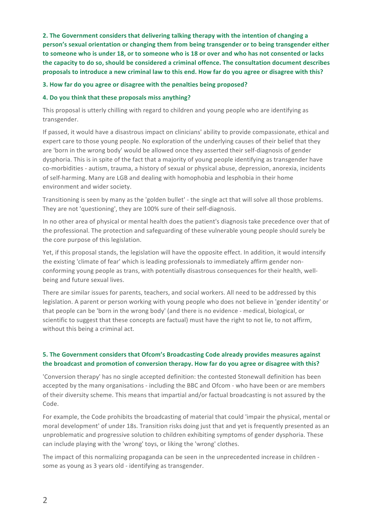**2.** The Government considers that delivering talking therapy with the intention of changing a person's sexual orientation or changing them from being transgender or to being transgender either to someone who is under 18, or to someone who is 18 or over and who has not consented or lacks the capacity to do so, should be considered a criminal offence. The consultation document describes proposals to introduce a new criminal law to this end. How far do you agree or disagree with this?

### **3. How far do you agree or disagree with the penalties being proposed?**

### **4. Do you think that these proposals miss anything?**

This proposal is utterly chilling with regard to children and young people who are identifying as transgender. 

If passed, it would have a disastrous impact on clinicians' ability to provide compassionate, ethical and expert care to those young people. No exploration of the underlying causes of their belief that they are 'born in the wrong body' would be allowed once they asserted their self-diagnosis of gender dysphoria. This is in spite of the fact that a majority of young people identifying as transgender have co-morbidities - autism, trauma, a history of sexual or physical abuse, depression, anorexia, incidents of self-harming. Many are LGB and dealing with homophobia and lesphobia in their home environment and wider society.

Transitioning is seen by many as the 'golden bullet' - the single act that will solve all those problems. They are not 'questioning', they are 100% sure of their self-diagnosis.

In no other area of physical or mental health does the patient's diagnosis take precedence over that of the professional. The protection and safeguarding of these vulnerable young people should surely be the core purpose of this legislation.

Yet, if this proposal stands, the legislation will have the opposite effect. In addition, it would intensify the existing 'climate of fear' which is leading professionals to immediately affirm gender nonconforming young people as trans, with potentially disastrous consequences for their health, wellbeing and future sexual lives.

There are similar issues for parents, teachers, and social workers. All need to be addressed by this legislation. A parent or person working with young people who does not believe in 'gender identity' or that people can be 'born in the wrong body' (and there is no evidence - medical, biological, or scientific to suggest that these concepts are factual) must have the right to not lie, to not affirm, without this being a criminal act.

# **5.** The Government considers that Ofcom's Broadcasting Code already provides measures against the broadcast and promotion of conversion therapy. How far do you agree or disagree with this?

'Conversion therapy' has no single accepted definition: the contested Stonewall definition has been accepted by the many organisations - including the BBC and Ofcom - who have been or are members of their diversity scheme. This means that impartial and/or factual broadcasting is not assured by the Code.

For example, the Code prohibits the broadcasting of material that could 'impair the physical, mental or moral development' of under 18s. Transition risks doing just that and yet is frequently presented as an unproblematic and progressive solution to children exhibiting symptoms of gender dysphoria. These can include playing with the 'wrong' toys, or liking the 'wrong' clothes.

The impact of this normalizing propaganda can be seen in the unprecedented increase in children some as young as 3 years old - identifying as transgender.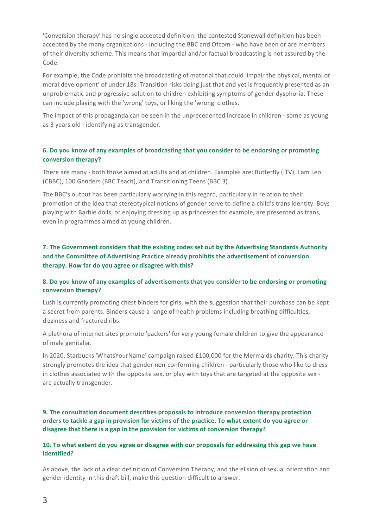'Conversion therapy' has no single accepted definition: the contested Stonewall definition has been accepted by the many organisations - including the BBC and Ofcom - who have been or are members of their diversity scheme. This means that impartial and/or factual broadcasting is not assured by the Code.

For example, the Code prohibits the broadcasting of material that could 'impair the physical, mental or moral development' of under 18s. Transition risks doing just that and yet is frequently presented as an unproblematic and progressive solution to children exhibiting symptoms of gender dysphoria. These can include playing with the 'wrong' toys, or liking the 'wrong' clothes.

The impact of this propaganda can be seen in the unprecedented increase in children - some as young as 3 years old - identifying as transgender.

## **6.** Do you know of any examples of broadcasting that you consider to be endorsing or promoting **conversion therapy?**

There are many - both those aimed at adults and at children. Examples are: Butterfly (ITV), I am Leo (CBBC), 100 Genders (BBC Teach), and Transitioning Teens (BBC 3).

The BBC's output has been particularly worrying in this regard, particularly in relation to their promotion of the idea that stereotypical notions of gender serve to define a child's trans identity. Boys playing with Barbie dolls, or enjoying dressing up as princesses for example, are presented as trans, even in programmes aimed at young children.

# **7.** The Government considers that the existing codes set out by the Advertising Standards Authority and the Committee of Advertising Practice already prohibits the advertisement of conversion therapy. How far do you agree or disagree with this?

### 8. Do you know of any examples of advertisements that you consider to be endorsing or promoting conversion therapy?

Lush is currently promoting chest binders for girls, with the suggestion that their purchase can be kept a secret from parents. Binders cause a range of health problems including breathing difficulties, dizziness and fractured ribs.

A plethora of internet sites promote 'packers' for very young female children to give the appearance of male genitalia.

In 2020, Starbucks 'WhatsYourName' campaign raised £100,000 for the Mermaids charity. This charity strongly promotes the idea that gender non-conforming children - particularly those who like to dress in clothes associated with the opposite sex, or play with toys that are targeted at the opposite sex are actually transgender.

**9.** The consultation document describes proposals to introduce conversion therapy protection orders to tackle a gap in provision for victims of the practice. To what extent do you agree or disagree that there is a gap in the provision for victims of conversion therapy?

#### **10.** To what extent do you agree or disagree with our proposals for addressing this gap we have **identified?**

As above, the lack of a clear definition of Conversion Therapy, and the elision of sexual orientation and gender identity in this draft bill, make this question difficult to answer.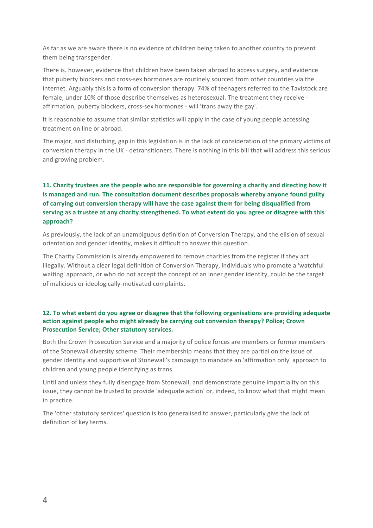As far as we are aware there is no evidence of children being taken to another country to prevent them being transgender.

There is. however, evidence that children have been taken abroad to access surgery, and evidence that puberty blockers and cross-sex hormones are routinely sourced from other countries via the internet. Arguably this is a form of conversion therapy. 74% of teenagers referred to the Tavistock are female; under 10% of those describe themselves as heterosexual. The treatment they receive affirmation, puberty blockers, cross-sex hormones - will 'trans away the gay'.

It is reasonable to assume that similar statistics will apply in the case of young people accessing treatment on line or abroad.

The major, and disturbing, gap in this legislation is in the lack of consideration of the primary victims of conversion therapy in the UK - detransitioners. There is nothing in this bill that will address this serious and growing problem.

# **11.** Charity trustees are the people who are responsible for governing a charity and directing how it is managed and run. The consultation document describes proposals whereby anyone found guilty of carrying out conversion therapy will have the case against them for being disqualified from serving as a trustee at any charity strengthened. To what extent do you agree or disagree with this **approach?**

As previously, the lack of an unambiguous definition of Conversion Therapy, and the elision of sexual orientation and gender identity, makes it difficult to answer this question.

The Charity Commission is already empowered to remove charities from the register if they act illegally. Without a clear legal definition of Conversion Therapy, individuals who promote a 'watchful waiting' approach, or who do not accept the concept of an inner gender identity, could be the target of malicious or ideologically-motivated complaints.

## **12.** To what extent do you agree or disagree that the following organisations are providing adequate action against people who might already be carrying out conversion therapy? Police; Crown **Prosecution Service; Other statutory services.**

Both the Crown Prosecution Service and a majority of police forces are members or former members of the Stonewall diversity scheme. Their membership means that they are partial on the issue of gender identity and supportive of Stonewall's campaign to mandate an 'affirmation only' approach to children and young people identifying as trans.

Until and unless they fully disengage from Stonewall, and demonstrate genuine impartiality on this issue, they cannot be trusted to provide 'adequate action' or, indeed, to know what that might mean in practice.

The 'other statutory services' question is too generalised to answer, particularly give the lack of definition of key terms.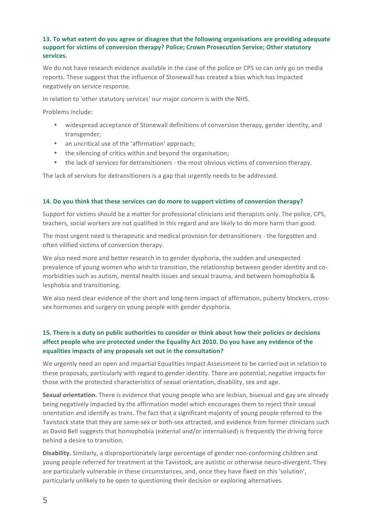## **13.** To what extent do you agree or disagree that the following organisations are providing adequate support for victims of conversion therapy? Police: Crown Prosecution Service: Other statutory **services.**

We do not have research evidence available in the case of the police or CPS so can only go on media reports. These suggest that the influence of Stonewall has created a bias which has impacted negatively on service response.

In relation to 'other statutory services' our major concern is with the NHS.

Problems include:

- widespread acceptance of Stonewall definitions of conversion therapy, gender identity, and transgender;
- an uncritical use of the 'affirmation' approach;
- the silencing of critics within and beyond the organisation:
- the lack of services for detransitioners the most obvious victims of conversion therapy.

The lack of services for detransitioners is a gap that urgently needs to be addressed.

#### **14.** Do you think that these services can do more to support victims of conversion therapy?

Support for victims should be a matter for professional clinicians and therapists only. The police, CPS, teachers, social workers are not qualified in this regard and are likely to do more harm than good.

The most urgent need is therapeutic and medical provision for detransitioners - the forgotten and often vilified victims of conversion therapy.

We also need more and better research in to gender dysphoria, the sudden and unexpected prevalence of young women who wish to transition, the relationship between gender identity and comorbidities such as autism, mental health issues and sexual trauma, and between homophobia & lesphobia and transitioning.

We also need clear evidence of the short and long-term impact of affirmation, puberty blockers, crosssex hormones and surgery on young people with gender dysphoria.

# **15.** There is a duty on public authorities to consider or think about how their policies or decisions affect people who are protected under the Equality Act 2010. Do you have any evidence of the equalities impacts of any proposals set out in the consultation?

We urgently need an open and impartial Equalities Impact Assessment to be carried out in relation to these proposals, particularly with regard to gender identity. There are potential, negative impacts for those with the protected characteristics of sexual orientation, disability, sex and age.

**Sexual orientation.** There is evidence that young people who are lesbian, bisexual and gay are already being negatively impacted by the affirmation model which encourages them to reject their sexual orientation and identify as trans. The fact that a significant majority of young people referred to the Tavistock state that they are same-sex or both-sex attracted, and evidence from former clinicians such as David Bell suggests that homophobia (external and/or internalised) is frequently the driving force behind a desire to transition.

**Disability.** Similarly, a disproportionately large percentage of gender non-conforming children and young people referred for treatment at the Tavistock, are autistic or otherwise neuro-divergent. They are particularly vulnerable in these circumstances, and, once they have fixed on this 'solution', particularly unlikely to be open to questioning their decision or exploring alternatives.